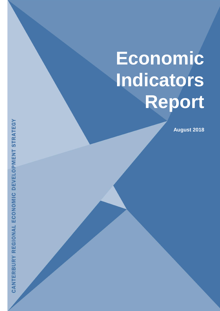# <span id="page-0-0"></span>**Economic Indicators Report**

**August 2018**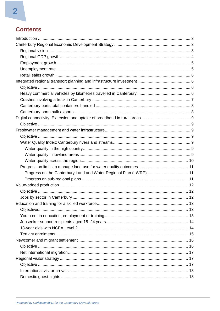# **Contents**

| Progress on the Canterbury Land and Water Regional Plan (LWRP)  11 |  |
|--------------------------------------------------------------------|--|
|                                                                    |  |
|                                                                    |  |
|                                                                    |  |
|                                                                    |  |
|                                                                    |  |
|                                                                    |  |
|                                                                    |  |
|                                                                    |  |
|                                                                    |  |
|                                                                    |  |
|                                                                    |  |
|                                                                    |  |
|                                                                    |  |
|                                                                    |  |
|                                                                    |  |
|                                                                    |  |
|                                                                    |  |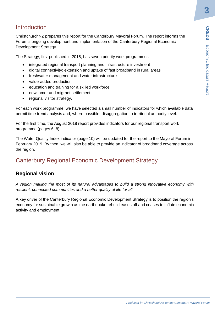# <span id="page-2-0"></span>**Introduction**

ChristchurchNZ prepares this report for the Canterbury Mayoral Forum. The report informs the Forum's ongoing development and implementation of the Canterbury Regional Economic Development Strategy*.*

The Strategy, first published in 2015, has seven priority work programmes:

- integrated regional transport planning and infrastructure investment
- digital connectivity: extension and uptake of fast broadband in rural areas
- freshwater management and water infrastructure
- value-added production
- education and training for a skilled workforce
- newcomer and migrant settlement
- regional visitor strategy.

For each work programme, we have selected a small number of indicators for which available data permit time trend analysis and, where possible, disaggregation to territorial authority level.

For the first time, the August 2018 report provides indicators for our regional transport work programme (pages 6–8).

The Water Quality Index indicator (page 10) will be updated for the report to the Mayoral Forum in February 2019. By then, we will also be able to provide an indicator of broadband coverage across the region.

# <span id="page-2-1"></span>Canterbury Regional Economic Development Strategy

## <span id="page-2-2"></span>**Regional vision**

*A region making the most of its natural advantages to build a strong innovative economy with resilient, connected communities and a better quality of life for all.*

**Produced by ChristchurchNZ for the Canterbury Regional Economic deformation**<br> **Programmes:**<br> **Provestment**<br> **Produced by Christian and areas**<br> **Produced by Christchurch and areas**<br> **Produced by ChristchurchNZ for the regi** A key driver of the Canterbury Regional Economic Development Strategy is to position the region's economy for sustainable growth as the earthquake rebuild eases off and ceases to inflate economic activity and employment.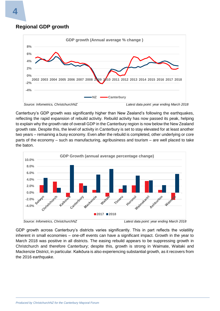<span id="page-3-0"></span>



Canterbury's GDP growth was significantly higher than New Zealand's following the earthquakes, reflecting the rapid expansion of rebuild activity. Rebuild activity has now passed its peak, helping to explain why the growth rate of overall GDP in the Canterbury region is now below the New Zealand growth rate. Despite this, the level of activity in Canterbury is set to stay elevated for at least another two years – remaining a busy economy. Even after the rebuild is completed, other underlying or core parts of the economy – such as manufacturing, agribusiness and tourism – are well placed to take the baton.





GDP growth across Canterbury's districts varies significantly. This in part reflects the volatility inherent in small economies – one-off events can have a significant impact. Growth in the year to March 2018 was positive in all districts. The easing rebuild appears to be suppressing growth in Christchurch and therefore Canterbury; despite this, growth is strong in Waimate, Waitaki and Mackenzie District, in particular. Kaikōura is also experiencing substantial growth, as it recovers from the 2016 earthquake.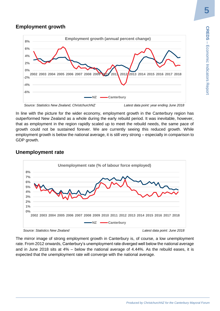## <span id="page-4-0"></span>**Employment growth**



In line with the picture for the wider economy, employment growth in the Canterbury region has outperformed New Zealand as a whole during the early rebuild period. It was inevitable, however, that as employment in the region rapidly scaled up to meet the rebuild needs, the same pace of growth could not be sustained forever. We are currently seeing this reduced growth. While employment growth is below the national average, it is still very strong – especially in comparison to GDP growth.

## <span id="page-4-1"></span>**Unemployment rate**



*Source: Statistics New Zealand Latest data point: June 2018*

The mirror image of strong employment growth in Canterbury is, of course, a low unemployment rate. From 2012 onwards, Canterbury's unemployment rate diverged well below the national average and in June 2018 sits at 4% – below the national average of 4.44%. As the rebuild eases, it is expected that the unemployment rate will converge with the national average.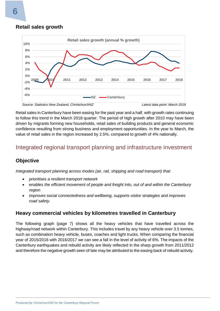#### <span id="page-5-0"></span>**Retail sales growth**



Retail sales in Canterbury have been easing for the past year and a half, with growth rates continuing to follow this trend in the March 2018 quarter. The period of high growth after 2010 may have been driven by migrants forming new households, retail sales of building products and general economic confidence resulting from strong business and employment opportunities. In the year to March, the value of retail sales in the region increased by 2.5%, compared to growth of 4% nationally.

# <span id="page-5-1"></span>Integrated regional transport planning and infrastructure investment

## <span id="page-5-2"></span>**Objective**

*Integrated transport planning across modes (air, rail, shipping and road transport) that:*

- *prioritises a resilient transport network*
- *enables the efficient movement of people and freight into, out of and within the Canterbury region*
- *improves social connectedness and wellbeing, supports visitor strategies and improves road safety.*

## <span id="page-5-3"></span>**Heavy commercial vehicles by kilometres travelled in Canterbury**

The following graph (page 7) shows all the heavy vehicles that have travelled across the highway/road network within Canterbury. This includes travel by any heavy vehicle over 3.5 tonnes, such as combination heavy vehicle, buses, coaches and light trucks. When comparing the financial year of 2015/2016 with 2016/2017 we can see a fall in the level of activity of 6%. The impacts of the Canterbury earthquakes and rebuild activity are likely reflected in the sharp growth from 2011/2012 and therefore the negative growth seen of late may be attributed to the easing back of rebuild activity.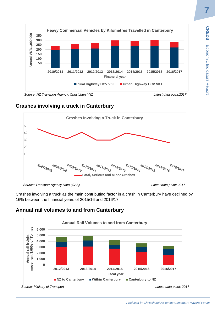

 *Source: NZ Transport Agency, ChristchurchNZ Latest data point:2017*

# <span id="page-6-0"></span>**Crashes involving a truck in Canterbury**



*Source: Transport Agency Data (CAS) Latest data point: 2017* 

Crashes involving a truck as the main contributing factor in a crash in Canterbury have declined by 16% between the financial years of 2015/16 and 2016/17.

# **Annual rail volumes to and from Canterbury**

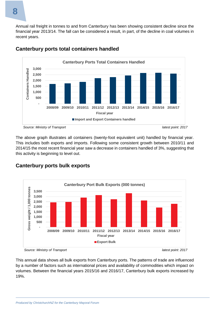Annual rail freight in tonnes to and from Canterbury has been showing consistent decline since the financial year 2013/14. The fall can be considered a result, in part, of the decline in coal volumes in recent years.



## <span id="page-7-0"></span>**Canterbury ports total containers handled**

The above graph illustrates all containers (twenty-foot equivalent unit) handled by financial year. This includes both exports and imports. Following some consistent growth between 2010/11 and 2014/15 the most recent financial year saw a decrease in containers handled of 3%, suggesting that this activity is beginning to level out.



## <span id="page-7-1"></span>**Canterbury ports bulk exports**

 *Source: Ministry of Transport latest point: 2017*



This annual data shows all bulk exports from Canterbury ports. The patterns of trade are influenced by a number of factors such as international prices and availability of commodities which impact on volumes. Between the financial years 2015/16 and 2016/17, Canterbury bulk exports increased by 19%.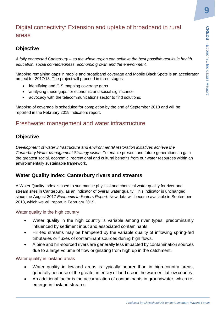# <span id="page-8-0"></span>Digital connectivity: Extension and uptake of broadband in rural areas

## <span id="page-8-1"></span>**Objective**

*A fully connected Canterbury – so the whole region can achieve the best possible results in health, education, social connectedness, economic growth and the environment.*

Mapping remaining gaps in mobile and broadband coverage and Mobile Black Spots is an accelerator project for 2017/18. The project will proceed in three stages:

- identifying and GIS mapping coverage gaps
- analysing these gaps for economic and social significance
- advocacy with the telecommunications sector to find solutions.

Mapping of coverage is scheduled for completion by the end of September 2018 and will be reported in the February 2019 indicators report.

## <span id="page-8-2"></span>Freshwater management and water infrastructure

## <span id="page-8-3"></span>**Objective**

**Produced by ChristchurchNZ for the Canterbury Mayoral Forumon the Western Christopher Christian Christmann Mobile Black Spots is an accelerator or a more invironment.<br>
<b>Produced Black Spots is an accelerator** or a more in *Development of water infrastructure and environmental restoration initiatives achieve the Canterbury Water Management Strategy vision:* To enable present and future generations to gain the greatest social, economic, recreational and cultural benefits from our water resources within an environmentally sustainable framework*.*

## <span id="page-8-4"></span>**Water Quality Index: Canterbury rivers and streams**

A Water Quality Index is used to summarise physical and chemical water quality for river and stream sites in Canterbury, as an indicator of overall water quality. This indicator is unchanged since the August 2017 *Economic Indicators Report*. New data will become available in September 2018, which we will report in February 2019.

#### <span id="page-8-5"></span>Water quality in the high country

- Water quality in the high country is variable among river types, predominantly influenced by sediment input and associated contaminants.
- Hill-fed streams may be hampered by the variable quality of inflowing spring-fed tributaries or fluxes of contaminant sources during high flows.
- Alpine and hill-sourced rivers are generally less impacted by contamination sources due to a large volume of flow originating from high up in the catchment.

<span id="page-8-6"></span>Water quality in lowland areas

- Water quality in lowland areas is typically poorer than in high-country areas, generally because of the greater intensity of land use in the warmer, flat low country.
- An additional factor is the accumulation of contaminants in groundwater, which reemerge in lowland streams.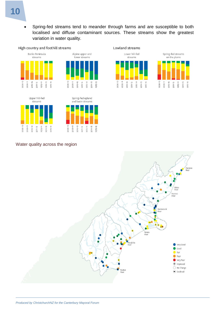• Spring-fed streams tend to meander through farms and are susceptible to both localised and diffuse contaminant sources. These streams show the greatest variation in water quality.







2008-10

2010-12

2009-11

2011-13

2014-15

2015-16

2013-14





## <span id="page-9-0"></span>Water quality across the region

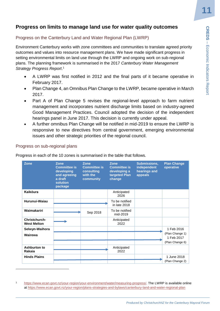## <span id="page-10-0"></span>**Progress on limits to manage land use for water quality outcomes**

#### <span id="page-10-1"></span>Progress on the Canterbury Land and Water Regional Plan (LWRP)

- A LWRP was first notified in 2012 and the final parts of it became operative in February 2017.
- Plan Change 4, an Omnibus Plan Change to the LWRP, became operative in March 2017.
- Part A of Plan Change 5 revises the regional-level approach to farm nutrient management and incorporates nutrient discharge limits based on industry-agreed Good Management Practices. Council adopted the decision of the independent hearings panel in June 2017. This decision is currently under appeal.
- A further omnibus Plan Change will be notified in mid-2019 to ensure the LWRP is responsive to new directives from central government, emerging environmental issues and other strategic priorities of the regional council.

#### <span id="page-10-2"></span>Progress on sub-regional plans

 $\overline{a}$ 

| ategy Progress Report. <sup>1</sup>                                                                             | tcomes and values into resource management plans. We have made significant progress in<br>ting environmental limits on land use through the LWRP and ongoing work on sub-regional<br>Ins. The planning framework is summarised in the 2017 Canterbury Water Management |                                                                           |                                                                               |                                                        |                                                                                                                                                                                                                                                                                                                                                                                                                                                                                                                                                                                     |
|-----------------------------------------------------------------------------------------------------------------|------------------------------------------------------------------------------------------------------------------------------------------------------------------------------------------------------------------------------------------------------------------------|---------------------------------------------------------------------------|-------------------------------------------------------------------------------|--------------------------------------------------------|-------------------------------------------------------------------------------------------------------------------------------------------------------------------------------------------------------------------------------------------------------------------------------------------------------------------------------------------------------------------------------------------------------------------------------------------------------------------------------------------------------------------------------------------------------------------------------------|
| February 2017.<br>2017.                                                                                         | hearings panel in June 2017. This decision is currently under appeal.<br>issues and other strategic priorities of the regional council.                                                                                                                                |                                                                           |                                                                               |                                                        | A LWRP was first notified in 2012 and the final parts of it became operative in<br>Plan Change 4, an Omnibus Plan Change to the LWRP, became operative in March<br>Part A of Plan Change 5 revises the regional-level approach to farm nutrient<br>management and incorporates nutrient discharge limits based on industry-agreed<br>Good Management Practices. Council adopted the decision of the independent<br>A further omnibus Plan Change will be notified in mid-2019 to ensure the LWRP is<br>responsive to new directives from central government, emerging environmental |
|                                                                                                                 |                                                                                                                                                                                                                                                                        |                                                                           |                                                                               |                                                        |                                                                                                                                                                                                                                                                                                                                                                                                                                                                                                                                                                                     |
|                                                                                                                 | ogress in each of the 10 zones is summarised in the table that follows.<br><b>Zone</b><br><b>Committee is</b><br>developing<br>and agreeing<br>a draft<br>solution                                                                                                     | <b>Zone</b><br><b>Committee is</b><br>consulting<br>with the<br>community | <b>Zone</b><br><b>Committee is</b><br>developing a<br>targeted Plan<br>change | Submissions,<br>independent<br>hearings and<br>appeals | <b>Plan Change</b><br>operative                                                                                                                                                                                                                                                                                                                                                                                                                                                                                                                                                     |
|                                                                                                                 | package                                                                                                                                                                                                                                                                |                                                                           | Anticipated                                                                   |                                                        |                                                                                                                                                                                                                                                                                                                                                                                                                                                                                                                                                                                     |
|                                                                                                                 |                                                                                                                                                                                                                                                                        |                                                                           | 2026<br>To be notified                                                        |                                                        |                                                                                                                                                                                                                                                                                                                                                                                                                                                                                                                                                                                     |
| ogress on sub-regional plans<br>Zone<br>Kaikōura<br>Hurunui-Waiau<br>Waimakariri                                |                                                                                                                                                                                                                                                                        | Sep 2018                                                                  | in late 2018<br>To be notified<br>mid-2019                                    |                                                        |                                                                                                                                                                                                                                                                                                                                                                                                                                                                                                                                                                                     |
|                                                                                                                 |                                                                                                                                                                                                                                                                        |                                                                           | Anticipated<br>2022                                                           |                                                        |                                                                                                                                                                                                                                                                                                                                                                                                                                                                                                                                                                                     |
|                                                                                                                 |                                                                                                                                                                                                                                                                        |                                                                           |                                                                               |                                                        | 1 Feb 2016<br>(Plan Change 1)<br>1 Feb 2017<br>(Plan Change 6)                                                                                                                                                                                                                                                                                                                                                                                                                                                                                                                      |
| <b>Christchurch-</b><br><b>West Melton</b><br>Selwyn-Waihora<br><b>Wairewa</b><br><b>Ashburton to</b><br>Rakaia |                                                                                                                                                                                                                                                                        |                                                                           | Anticipated<br>2022                                                           |                                                        |                                                                                                                                                                                                                                                                                                                                                                                                                                                                                                                                                                                     |

[https://www.ecan.govt.nz/your-region/your-environment/water/measuring-progress/.](https://www.ecan.govt.nz/your-region/your-environment/water/measuring-progress/) The LWRP is available online at<https://www.ecan.govt.nz/your-region/plans-strategies-and-bylaws/canterbury-land-and-water-regional-plan>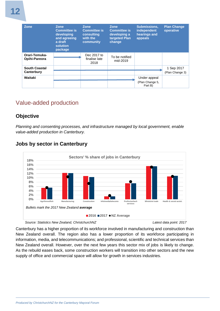| <b>Zone</b>                        | <b>Zone</b><br><b>Committee is</b><br>developing<br>and agreeing<br>a draft<br>solution<br>package | <b>Zone</b><br><b>Committee is</b><br>consulting<br>with the<br>community | <b>Zone</b><br><b>Committee is</b><br>developing a<br>targeted Plan<br>change | <b>Submissions.</b><br>independent<br>hearings and<br>appeals | <b>Plan Change</b><br>operative |
|------------------------------------|----------------------------------------------------------------------------------------------------|---------------------------------------------------------------------------|-------------------------------------------------------------------------------|---------------------------------------------------------------|---------------------------------|
| Orari-Temuka-<br>Opihi-Pareora     |                                                                                                    | Dec 2017 to<br>finalise late<br>2018                                      | To be notified<br>mid-2019                                                    |                                                               |                                 |
| <b>South Coastal</b><br>Canterbury |                                                                                                    |                                                                           |                                                                               |                                                               | 1 Sep 2017<br>(Plan Change 3)   |
| Waitaki                            |                                                                                                    |                                                                           |                                                                               | Under appeal<br>(Plan Change 5,<br>Part B)                    |                                 |

# <span id="page-11-0"></span>Value-added production

## <span id="page-11-1"></span>**Objective**

*Planning and consenting processes, and infrastructure managed by local government, enable value-added production in Canterbury.*



## <span id="page-11-2"></span>**Jobs by sector in Canterbury**

 *Source: Statistics New Zealand, ChristchurchNZ Latest data point: 2017*

Canterbury has a higher proportion of its workforce involved in manufacturing and construction than New Zealand overall. The region also has a lower proportion of its workforce participating in information, media, and telecommunications; and professional, scientific and technical services than New Zealand overall. However, over the next few years this sector mix of jobs is likely to change. As the rebuild eases back, some construction workers will transition into other sectors and the new supply of office and commercial space will allow for growth in services industries.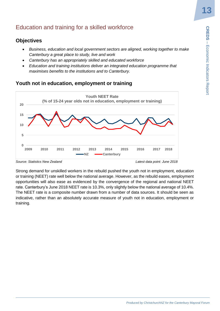# <span id="page-12-0"></span>Education and training for a skilled workforce

## <span id="page-12-1"></span>**Objectives**

- *Business, education and local government sectors are aligned, working together to make Canterbury a great place to study, live and work*
- *Canterbury has an appropriately skilled and educated workforce*
- *Education and training institutions deliver an integrated education programme that maximises benefits to the institutions and to Canterbury.*

## <span id="page-12-2"></span>**Youth not in education, employment or training**



*Source: Statistics New Zealand Latest data point: June 2018*

Strong demand for unskilled workers in the rebuild pushed the youth not in employment, education or training (NEET) rate well below the national average. However, as the rebuild eases, employment opportunities will also ease as evidenced by the convergence of the regional and national NEET rate. Canterbury's June 2018 NEET rate is 10.3%, only slightly below the national average of 10.4%. The NEET rate is a composite number drawn from a number of data sources. It should be seen as indicative, rather than an absolutely accurate measure of youth not in education, employment or training.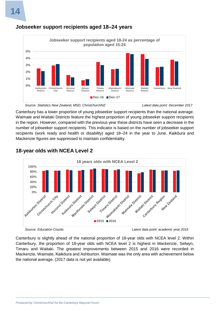

## <span id="page-13-0"></span>**Jobseeker support recipients aged 18–24 years**

 *Source: Statistics New Zealand, MSD, ChristchurchNZ Latest data point: December 2017*

Canterbury has a lower proportion of young jobseeker support recipients than the national average. Waimate and Waitaki Districts feature the highest proportion of young jobseeker support recipients in the region. However, compared with the previous year these districts have seen a decrease in the number of jobseeker support recipients. This indicator is based on the number of jobseeker support recipients (work ready and health or disability) aged 18–24 in the year to June. Kaikōura and Mackenzie figures are suppressed to maintain confidentiality.



## <span id="page-13-1"></span>**18-year olds with NCEA Level 2**

Canterbury is slightly ahead of the national proportion of 18-year olds with NCEA level 2. Within Canterbury, the proportion of 18-year olds with NCEA level 2 is highest in Mackenzie, Selwyn, Timaru and Waitaki. The greatest improvements between 2015 and 2016 were recorded in Mackenzie, Waimate, Kaikōura and Ashburton. Waimate was the only area with achievement below the national average. (2017 data is not yet available).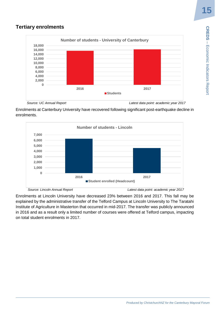**CREDS - Econicators Report** 

Economic Indicators Report

## <span id="page-14-0"></span>**Tertiary enrolments**



 *Source: UC Annual Report Latest data point: academic year 2017*

Enrolments at Canterbury University have recovered following significant post-earthquake decline in enrolments.



Enrolments at Lincoln University have decreased 23% between 2016 and 2017. This fall may be explained by the administrative transfer of the Telford Campus at Lincoln University to The Taratahi Institute of Agriculture in Masterton that occurred in mid-2017. The transfer was publicly announced in 2016 and as a result only a limited number of courses were offered at Telford campus, impacting on total student enrolments in 2017.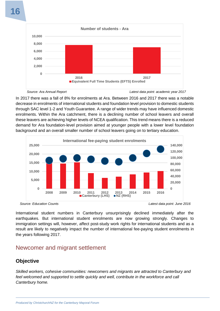

In 2017 there was a fall of 8% for enrolments at Ara. Between 2016 and 2017 there was a notable decrease in enrolments of international students and foundation level provision to domestic students through SAC level 1-2 and Youth Guarantee. A range of wider trends may have influenced domestic enrolments. Within the Ara catchment, there is a declining number of school leavers and overall these leavers are achieving higher levels of NCEA qualification. This trend means there is a reduced demand for Ara foundation-level provision aimed at younger people with a lower level foundation background and an overall smaller number of school leavers going on to tertiary education.



*Source: Education Counts Latest data point: June 2016*

International student numbers in Canterbury unsurprisingly declined immediately after the earthquakes. But international student enrolments are now growing strongly. Changes to immigration settings will, however, affect post-study work rights for international students and as a result are likely to negatively impact the number of international fee-paying student enrolments in the years following 2017.

# <span id="page-15-0"></span>Newcomer and migrant settlement

## <span id="page-15-1"></span>**Objective**

*Skilled workers, cohesive communities: newcomers and migrants are attracted to Canterbury and*  feel welcomed and supported to settle quickly and well, contribute in the workforce and call *Canterbury home.*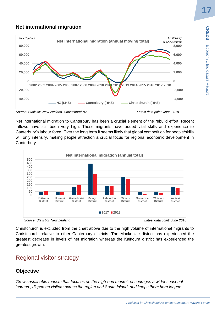## <span id="page-16-0"></span>**Net international migration**



*Source: Statistics New Zealand, ChristchurchNZ Latest data point: June 2018*

Net international migration to Canterbury has been a crucial element of the rebuild effort. Recent inflows have still been very high. These migrants have added vital skills and experience to Canterbury's labour force. Over the long term it seems likely that global competition for people/skills will only intensify, making people attraction a crucial focus for regional economic development in Canterbury.





Christchurch is excluded from the chart above due to the high volume of international migrants to Christchurch relative to other Canterbury districts. The Mackenzie district has experienced the greatest decrease in levels of net migration whereas the Kaikōura district has experienced the greatest growth.

# <span id="page-16-1"></span>Regional visitor strategy

## <span id="page-16-2"></span>**Objective**

*Grow sustainable tourism that focuses on the high-end market, encourages a wider seasonal 'spread', disperses visitors across the region and South Island, and keeps them here longer.*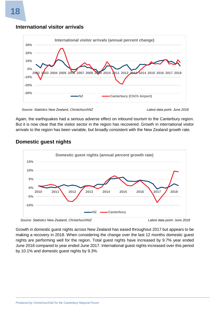# **-30% -20% -10% 0% 10% 20% 30% 2002 2003 2004 2005 2006 2007 2008 2009 2010 2011 2012 2013 2014 2015 2016 2017 2018 International visitor arrivals (annual percent change) NZ Canterbury (ChCh Airport)**

## <span id="page-17-0"></span>**International visitor arrivals**



Again, the earthquakes had a serious adverse effect on inbound tourism to the Canterbury region. But it is now clear that the visitor sector in the region has recovered. Growth in international visitor arrivals to the region has been variable, but broadly consistent with the New Zealand growth rate.



## <span id="page-17-1"></span>**Domestic guest nights**

*Source: Statistics New Zealand, ChristchurchNZ Latest data point: June 2018*

Growth in domestic guest nights across New Zealand has eased throughout 2017 but appears to be making a recovery in 2018. When considering the change over the last 12 months domestic guest nights are performing well for the region. Total guest nights have increased by 9.7% year ended June 2018 compared to year ended June 2017. International guest nights increased over this period by 10.1% and domestic guest nights by 9.3%.